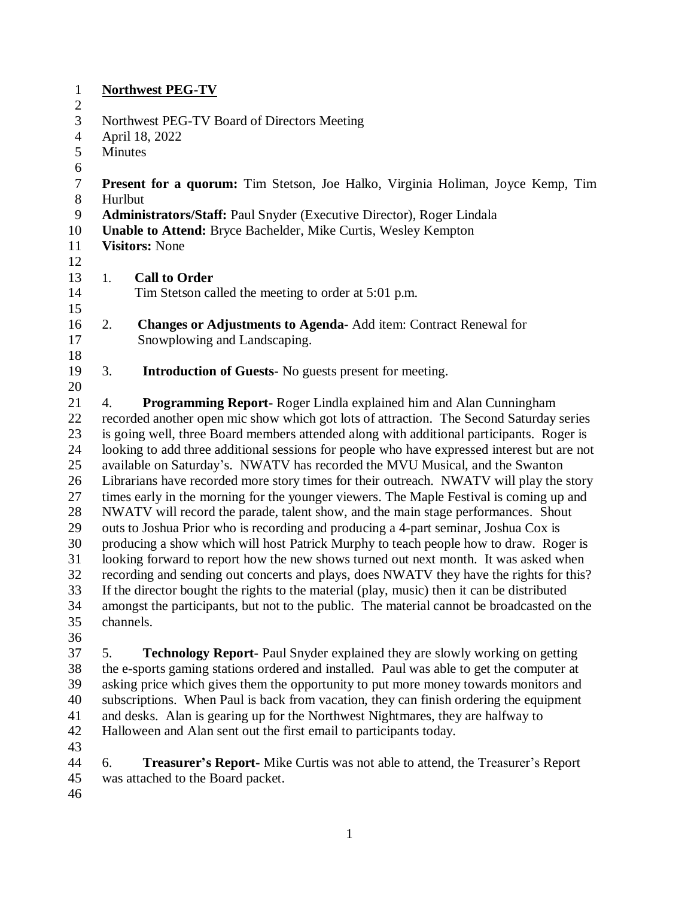| $\mathbf{1}$   | <b>Northwest PEG-TV</b>                                                                     |         |  |  |
|----------------|---------------------------------------------------------------------------------------------|---------|--|--|
| $\overline{2}$ |                                                                                             |         |  |  |
| 3              | Northwest PEG-TV Board of Directors Meeting                                                 |         |  |  |
| $\overline{4}$ | April 18, 2022                                                                              |         |  |  |
| 5              | Minutes                                                                                     |         |  |  |
| 6              |                                                                                             |         |  |  |
| $\tau$         | <b>Present for a quorum:</b> Tim Stetson, Joe Halko, Virginia Holiman, Joyce Kemp, Tim      |         |  |  |
| 8              |                                                                                             | Hurlbut |  |  |
| 9              | Administrators/Staff: Paul Snyder (Executive Director), Roger Lindala                       |         |  |  |
| 10             | <b>Unable to Attend: Bryce Bachelder, Mike Curtis, Wesley Kempton</b>                       |         |  |  |
| 11             | <b>Visitors: None</b>                                                                       |         |  |  |
| 12             |                                                                                             |         |  |  |
| 13             | <b>Call to Order</b><br>1.                                                                  |         |  |  |
| 14             | Tim Stetson called the meeting to order at 5:01 p.m.                                        |         |  |  |
| 15             |                                                                                             |         |  |  |
| 16             | <b>Changes or Adjustments to Agenda-Add item: Contract Renewal for</b><br>2.                |         |  |  |
| 17             | Snowplowing and Landscaping.                                                                |         |  |  |
| 18             |                                                                                             |         |  |  |
| 19             | 3.<br><b>Introduction of Guests-</b> No guests present for meeting.                         |         |  |  |
| 20             |                                                                                             |         |  |  |
| 21             | Programming Report-Roger Lindla explained him and Alan Cunningham<br>4.                     |         |  |  |
| 22             | recorded another open mic show which got lots of attraction. The Second Saturday series     |         |  |  |
| 23             | is going well, three Board members attended along with additional participants. Roger is    |         |  |  |
| 24             | looking to add three additional sessions for people who have expressed interest but are not |         |  |  |
| 25             | available on Saturday's. NWATV has recorded the MVU Musical, and the Swanton                |         |  |  |
| 26             | Librarians have recorded more story times for their outreach. NWATV will play the story     |         |  |  |
| 27             | times early in the morning for the younger viewers. The Maple Festival is coming up and     |         |  |  |
| 28             | NWATV will record the parade, talent show, and the main stage performances. Shout           |         |  |  |
| 29             | outs to Joshua Prior who is recording and producing a 4-part seminar, Joshua Cox is         |         |  |  |
| 30             | producing a show which will host Patrick Murphy to teach people how to draw. Roger is       |         |  |  |

31 looking forward to report how the new shows turned out next month. It was asked when<br>32 recording and sending out concerts and plays, does NWATV they have the rights for this recording and sending out concerts and plays, does NWATV they have the rights for this? If the director bought the rights to the material (play, music) then it can be distributed amongst the participants, but not to the public. The material cannot be broadcasted on the channels.

 5. **Technology Report-** Paul Snyder explained they are slowly working on getting the e-sports gaming stations ordered and installed. Paul was able to get the computer at asking price which gives them the opportunity to put more money towards monitors and subscriptions. When Paul is back from vacation, they can finish ordering the equipment and desks. Alan is gearing up for the Northwest Nightmares, they are halfway to Halloween and Alan sent out the first email to participants today.

 6. **Treasurer's Report-** Mike Curtis was not able to attend, the Treasurer's Report was attached to the Board packet.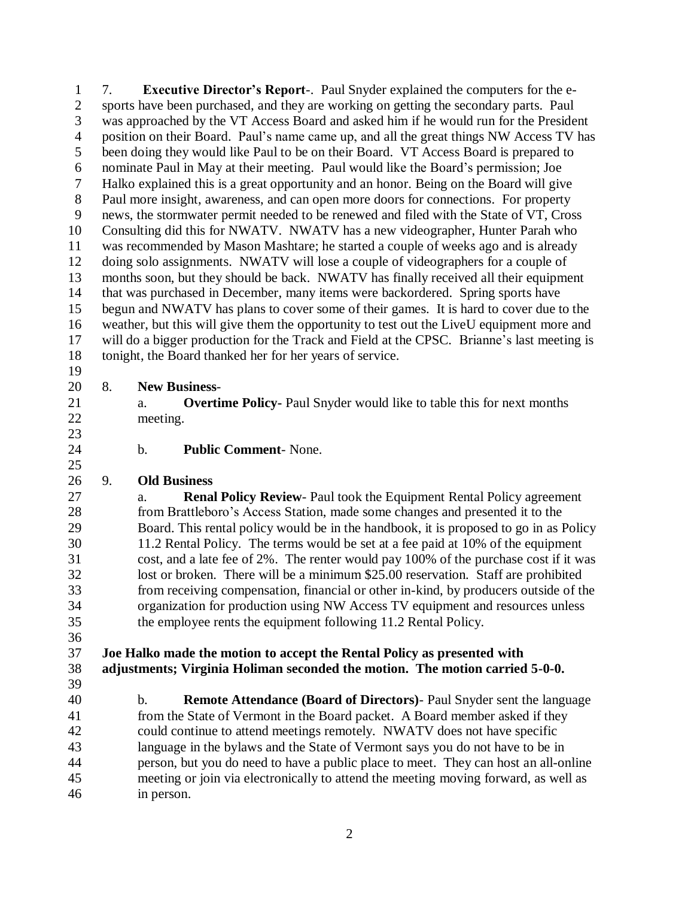7. **Executive Director's Report**-. Paul Snyder explained the computers for the e- sports have been purchased, and they are working on getting the secondary parts. Paul was approached by the VT Access Board and asked him if he would run for the President position on their Board. Paul's name came up, and all the great things NW Access TV has been doing they would like Paul to be on their Board. VT Access Board is prepared to nominate Paul in May at their meeting. Paul would like the Board's permission; Joe Halko explained this is a great opportunity and an honor. Being on the Board will give Paul more insight, awareness, and can open more doors for connections. For property news, the stormwater permit needed to be renewed and filed with the State of VT, Cross Consulting did this for NWATV. NWATV has a new videographer, Hunter Parah who was recommended by Mason Mashtare; he started a couple of weeks ago and is already doing solo assignments. NWATV will lose a couple of videographers for a couple of months soon, but they should be back. NWATV has finally received all their equipment that was purchased in December, many items were backordered. Spring sports have begun and NWATV has plans to cover some of their games. It is hard to cover due to the weather, but this will give them the opportunity to test out the LiveU equipment more and will do a bigger production for the Track and Field at the CPSC. Brianne's last meeting is tonight, the Board thanked her for her years of service. 

## 8. **New Business**-

- a. **Overtime Policy-** Paul Snyder would like to table this for next months meeting.
- 

b. **Public Comment**- None.

## 9. **Old Business**

 a. **Renal Policy Review**- Paul took the Equipment Rental Policy agreement from Brattleboro's Access Station, made some changes and presented it to the Board. This rental policy would be in the handbook, it is proposed to go in as Policy 11.2 Rental Policy. The terms would be set at a fee paid at 10% of the equipment cost, and a late fee of 2%. The renter would pay 100% of the purchase cost if it was lost or broken. There will be a minimum \$25.00 reservation. Staff are prohibited from receiving compensation, financial or other in-kind, by producers outside of the organization for production using NW Access TV equipment and resources unless the employee rents the equipment following 11.2 Rental Policy.

## **Joe Halko made the motion to accept the Rental Policy as presented with adjustments; Virginia Holiman seconded the motion. The motion carried 5-0-0.**

 b. **Remote Attendance (Board of Directors)**- Paul Snyder sent the language from the State of Vermont in the Board packet. A Board member asked if they could continue to attend meetings remotely. NWATV does not have specific language in the bylaws and the State of Vermont says you do not have to be in person, but you do need to have a public place to meet. They can host an all-online meeting or join via electronically to attend the meeting moving forward, as well as in person.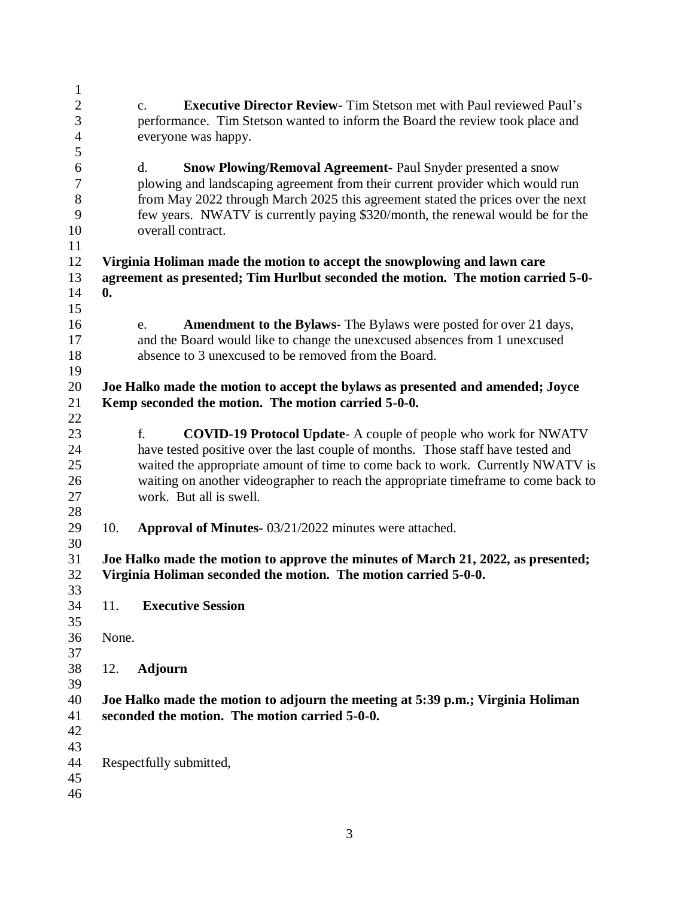| $\mathbf{1}$   |                |                                                                                               |
|----------------|----------------|-----------------------------------------------------------------------------------------------|
| $\mathbf{2}$   |                | <b>Executive Director Review-</b> Tim Stetson met with Paul reviewed Paul's<br>$\mathbf{c}$ . |
| 3              |                | performance. Tim Stetson wanted to inform the Board the review took place and                 |
| $\overline{4}$ |                | everyone was happy.                                                                           |
| 5              |                |                                                                                               |
| 6              |                | d.<br><b>Snow Plowing/Removal Agreement- Paul Snyder presented a snow</b>                     |
| 7              |                | plowing and landscaping agreement from their current provider which would run                 |
| $8\,$          |                | from May 2022 through March 2025 this agreement stated the prices over the next               |
| 9              |                | few years. NWATV is currently paying \$320/month, the renewal would be for the                |
| 10             |                | overall contract.                                                                             |
| 11             |                |                                                                                               |
| 12             |                | Virginia Holiman made the motion to accept the snowplowing and lawn care                      |
| 13             |                | agreement as presented; Tim Hurlbut seconded the motion. The motion carried 5-0-              |
| 14             | $\mathbf{0}$ . |                                                                                               |
| 15             |                |                                                                                               |
| 16             |                |                                                                                               |
|                |                | <b>Amendment to the Bylaws-</b> The Bylaws were posted for over 21 days,<br>e.                |
| 17             |                | and the Board would like to change the unexcused absences from 1 unexcused                    |
| 18             |                | absence to 3 unexcused to be removed from the Board.                                          |
| 19             |                |                                                                                               |
| 20             |                | Joe Halko made the motion to accept the bylaws as presented and amended; Joyce                |
| 21             |                | Kemp seconded the motion. The motion carried 5-0-0.                                           |
| 22             |                |                                                                                               |
| 23             |                | <b>COVID-19 Protocol Update-</b> A couple of people who work for NWATV<br>f.                  |
| 24             |                | have tested positive over the last couple of months. Those staff have tested and              |
| 25             |                | waited the appropriate amount of time to come back to work. Currently NWATV is                |
| 26             |                | waiting on another videographer to reach the appropriate timeframe to come back to            |
| 27             |                | work. But all is swell.                                                                       |
| 28             |                |                                                                                               |
| 29             | 10.            | Approval of Minutes- 03/21/2022 minutes were attached.                                        |
| 30             |                |                                                                                               |
| 31             |                | Joe Halko made the motion to approve the minutes of March 21, 2022, as presented;             |
| 32             |                | Virginia Holiman seconded the motion. The motion carried 5-0-0.                               |
| 33             |                |                                                                                               |
| 34             | 11.            | <b>Executive Session</b>                                                                      |
| 35             |                |                                                                                               |
| 36             | None.          |                                                                                               |
| 37             |                |                                                                                               |
| 38             | 12.            | <b>Adjourn</b>                                                                                |
| 39             |                |                                                                                               |
| 40             |                | Joe Halko made the motion to adjourn the meeting at 5:39 p.m.; Virginia Holiman               |
| 41             |                | seconded the motion. The motion carried 5-0-0.                                                |
| 42             |                |                                                                                               |
| 43             |                |                                                                                               |
| 44             |                | Respectfully submitted,                                                                       |
| 45             |                |                                                                                               |
| 46             |                |                                                                                               |